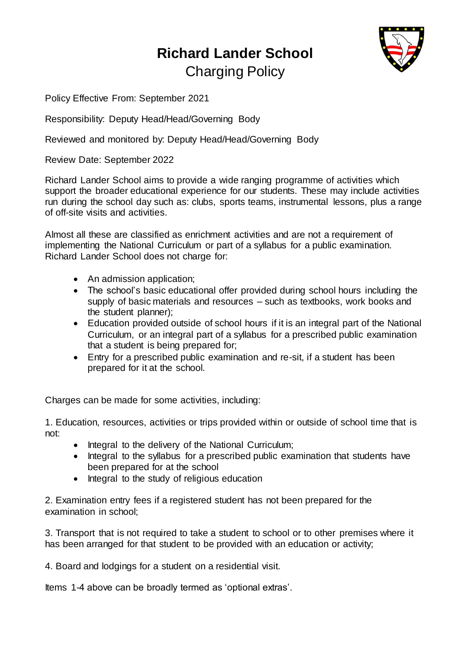## **Richard Lander School** Charging Policy



Policy Effective From: September 2021

Responsibility: Deputy Head/Head/Governing Body

Reviewed and monitored by: Deputy Head/Head/Governing Body

Review Date: September 2022

Richard Lander School aims to provide a wide ranging programme of activities which support the broader educational experience for our students. These may include activities run during the school day such as: clubs, sports teams, instrumental lessons, plus a range of off-site visits and activities.

Almost all these are classified as enrichment activities and are not a requirement of implementing the National Curriculum or part of a syllabus for a public examination. Richard Lander School does not charge for:

- An admission application;
- The school's basic educational offer provided during school hours including the supply of basic materials and resources – such as textbooks, work books and the student planner);
- Education provided outside of school hours if it is an integral part of the National Curriculum, or an integral part of a syllabus for a prescribed public examination that a student is being prepared for;
- Entry for a prescribed public examination and re-sit, if a student has been prepared for it at the school.

Charges can be made for some activities, including:

1. Education, resources, activities or trips provided within or outside of school time that is not:

- Integral to the delivery of the National Curriculum;
- Integral to the syllabus for a prescribed public examination that students have been prepared for at the school
- Integral to the study of religious education

2. Examination entry fees if a registered student has not been prepared for the examination in school;

3. Transport that is not required to take a student to school or to other premises where it has been arranged for that student to be provided with an education or activity;

4. Board and lodgings for a student on a residential visit.

Items 1-4 above can be broadly termed as 'optional extras'.